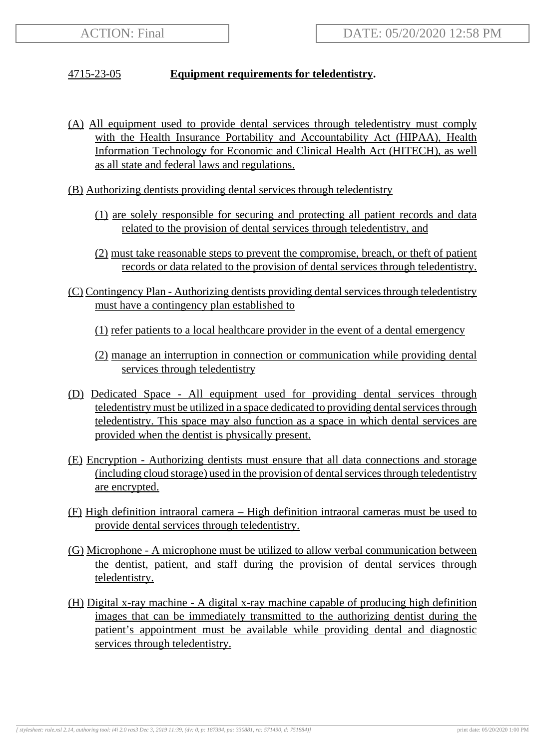## 4715-23-05 **Equipment requirements for teledentistry.**

- (A) All equipment used to provide dental services through teledentistry must comply with the Health Insurance Portability and Accountability Act (HIPAA), Health Information Technology for Economic and Clinical Health Act (HITECH), as well as all state and federal laws and regulations.
- (B) Authorizing dentists providing dental services through teledentistry
	- (1) are solely responsible for securing and protecting all patient records and data related to the provision of dental services through teledentistry, and
	- (2) must take reasonable steps to prevent the compromise, breach, or theft of patient records or data related to the provision of dental services through teledentistry.
- (C) Contingency Plan Authorizing dentists providing dental services through teledentistry must have a contingency plan established to

(1) refer patients to a local healthcare provider in the event of a dental emergency

- (2) manage an interruption in connection or communication while providing dental services through teledentistry
- (D) Dedicated Space All equipment used for providing dental services through teledentistry must be utilized in a space dedicated to providing dental services through teledentistry. This space may also function as a space in which dental services are provided when the dentist is physically present.
- (E) Encryption Authorizing dentists must ensure that all data connections and storage (including cloud storage) used in the provision of dental services through teledentistry are encrypted.
- (F) High definition intraoral camera High definition intraoral cameras must be used to provide dental services through teledentistry.
- (G) Microphone A microphone must be utilized to allow verbal communication between the dentist, patient, and staff during the provision of dental services through teledentistry.
- (H) Digital x-ray machine A digital x-ray machine capable of producing high definition images that can be immediately transmitted to the authorizing dentist during the patient's appointment must be available while providing dental and diagnostic services through teledentistry.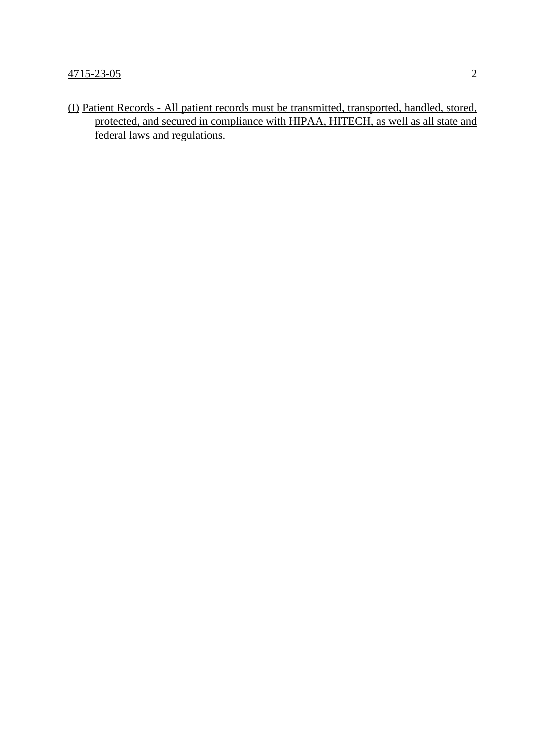(I) Patient Records - All patient records must be transmitted, transported, handled, stored, protected, and secured in compliance with HIPAA, HITECH, as well as all state and federal laws and regulations.